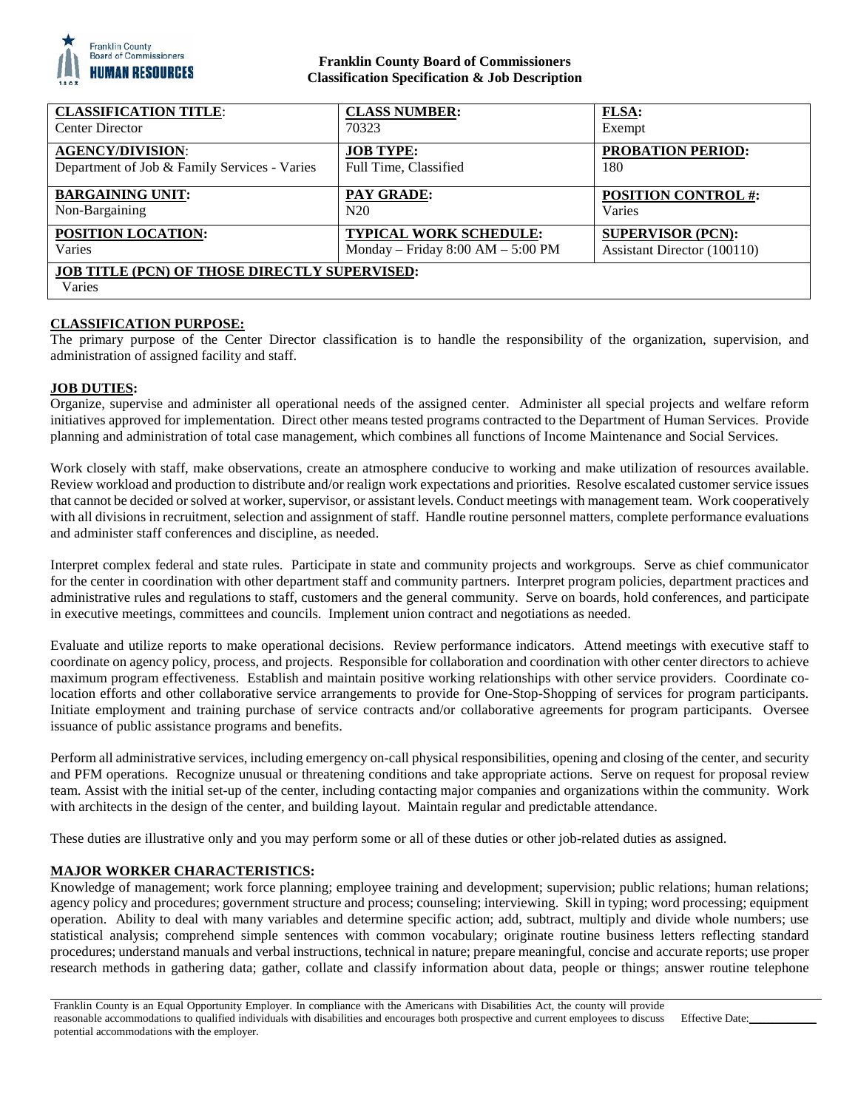

## **Franklin County Board of Commissioners Classification Specification & Job Description**

| <b>CLASSIFICATION TITLE:</b>                                   | <b>CLASS NUMBER:</b>                | <b>FLSA:</b>                |
|----------------------------------------------------------------|-------------------------------------|-----------------------------|
| <b>Center Director</b>                                         | 70323                               | Exempt                      |
| <b>AGENCY/DIVISION:</b>                                        | <b>JOB TYPE:</b>                    | <b>PROBATION PERIOD:</b>    |
| Department of Job & Family Services - Varies                   | Full Time, Classified               | 180                         |
| <b>BARGAINING UNIT:</b>                                        | PAY GRADE:                          | <b>POSITION CONTROL #:</b>  |
| Non-Bargaining                                                 | N20                                 | Varies                      |
| POSITION LOCATION:                                             | <b>TYPICAL WORK SCHEDULE:</b>       | <b>SUPERVISOR (PCN):</b>    |
| Varies                                                         | Monday - Friday $8:00 AM - 5:00 PM$ | Assistant Director (100110) |
| <b>JOB TITLE (PCN) OF THOSE DIRECTLY SUPERVISED:</b><br>Varies |                                     |                             |

# **CLASSIFICATION PURPOSE:**

The primary purpose of the Center Director classification is to handle the responsibility of the organization, supervision, and administration of assigned facility and staff.

### **JOB DUTIES:**

Organize, supervise and administer all operational needs of the assigned center. Administer all special projects and welfare reform initiatives approved for implementation. Direct other means tested programs contracted to the Department of Human Services. Provide planning and administration of total case management, which combines all functions of Income Maintenance and Social Services.

Work closely with staff, make observations, create an atmosphere conducive to working and make utilization of resources available. Review workload and production to distribute and/or realign work expectations and priorities. Resolve escalated customer service issues that cannot be decided or solved at worker, supervisor, or assistant levels. Conduct meetings with management team. Work cooperatively with all divisions in recruitment, selection and assignment of staff. Handle routine personnel matters, complete performance evaluations and administer staff conferences and discipline, as needed.

Interpret complex federal and state rules. Participate in state and community projects and workgroups. Serve as chief communicator for the center in coordination with other department staff and community partners. Interpret program policies, department practices and administrative rules and regulations to staff, customers and the general community. Serve on boards, hold conferences, and participate in executive meetings, committees and councils. Implement union contract and negotiations as needed.

Evaluate and utilize reports to make operational decisions. Review performance indicators. Attend meetings with executive staff to coordinate on agency policy, process, and projects. Responsible for collaboration and coordination with other center directors to achieve maximum program effectiveness. Establish and maintain positive working relationships with other service providers. Coordinate colocation efforts and other collaborative service arrangements to provide for One-Stop-Shopping of services for program participants. Initiate employment and training purchase of service contracts and/or collaborative agreements for program participants. Oversee issuance of public assistance programs and benefits.

Perform all administrative services, including emergency on-call physical responsibilities, opening and closing of the center, and security and PFM operations. Recognize unusual or threatening conditions and take appropriate actions. Serve on request for proposal review team. Assist with the initial set-up of the center, including contacting major companies and organizations within the community. Work with architects in the design of the center, and building layout. Maintain regular and predictable attendance.

These duties are illustrative only and you may perform some or all of these duties or other job-related duties as assigned.

## **MAJOR WORKER CHARACTERISTICS:**

Knowledge of management; work force planning; employee training and development; supervision; public relations; human relations; agency policy and procedures; government structure and process; counseling; interviewing. Skill in typing; word processing; equipment operation. Ability to deal with many variables and determine specific action; add, subtract, multiply and divide whole numbers; use statistical analysis; comprehend simple sentences with common vocabulary; originate routine business letters reflecting standard procedures; understand manuals and verbal instructions, technical in nature; prepare meaningful, concise and accurate reports; use proper research methods in gathering data; gather, collate and classify information about data, people or things; answer routine telephone